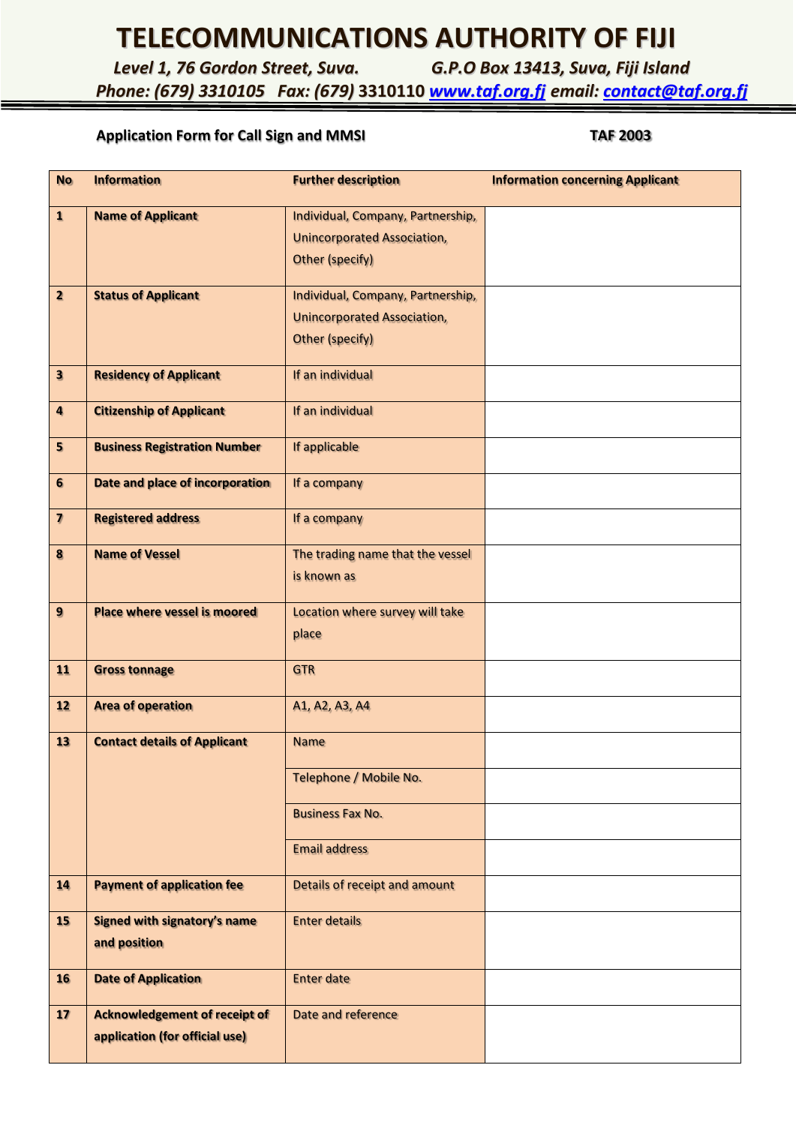## **TELECOMMUNICATIONS AUTHORITY OF FIJI**

*Level 1, 76 Gordon Street, Suva. G.P.O Box 13413, Suva, Fiji Island*

*Phone: (679) 3310105 Fax: (679)* **3310110** *[www.taf.org.fj](http://www.taf.org.fj/) email: [contact@taf.org.fj](mailto:contact@taf.org.fj)*

## Application Form for Call Sign and MMSI **TAF 2003**

| <b>No</b>               | <b>Information</b>                   | <b>Further description</b>         | <b>Information concerning Applicant</b> |
|-------------------------|--------------------------------------|------------------------------------|-----------------------------------------|
| $\mathbf{1}$            | <b>Name of Applicant</b>             | Individual, Company, Partnership,  |                                         |
|                         |                                      | <b>Unincorporated Association,</b> |                                         |
|                         |                                      | <b>Other (specify)</b>             |                                         |
| $\overline{2}$          | <b>Status of Applicant</b>           | Individual, Company, Partnership,  |                                         |
|                         |                                      | <b>Unincorporated Association,</b> |                                         |
|                         |                                      | Other (specify)                    |                                         |
| $\overline{\mathbf{3}}$ | <b>Residency of Applicant</b>        | If an individual                   |                                         |
| $\overline{\mathbf{a}}$ | <b>Citizenship of Applicant</b>      | If an individual                   |                                         |
| $5\phantom{.0}$         | <b>Business Registration Number</b>  | If applicable                      |                                         |
| 6                       | Date and place of incorporation      | If a company                       |                                         |
| $\overline{\mathbf{z}}$ | <b>Registered address</b>            | If a company                       |                                         |
| 8                       | <b>Name of Vessel</b>                | The trading name that the vessel   |                                         |
|                         |                                      | is known as                        |                                         |
| 9                       | <b>Place where vessel is moored</b>  | Location where survey will take    |                                         |
|                         |                                      | place                              |                                         |
| 11                      | <b>Gross tonnage</b>                 | <b>GTR</b>                         |                                         |
| 12                      | <b>Area of operation</b>             | A1, A2, A3, A4                     |                                         |
| 13                      | <b>Contact details of Applicant</b>  | <b>Name</b>                        |                                         |
|                         |                                      | Telephone / Mobile No.             |                                         |
|                         |                                      | <b>Business Fax No.</b>            |                                         |
|                         |                                      | <b>Email address</b>               |                                         |
| 14                      | <b>Payment of application fee</b>    | Details of receipt and amount      |                                         |
| 15                      | <b>Signed with signatory's name</b>  | <b>Enter details</b>               |                                         |
|                         | and position                         |                                    |                                         |
| 16                      | <b>Date of Application</b>           | <b>Enter date</b>                  |                                         |
| 17                      | <b>Acknowledgement of receipt of</b> | Date and reference                 |                                         |
|                         | application (for official use)       |                                    |                                         |
|                         |                                      |                                    |                                         |